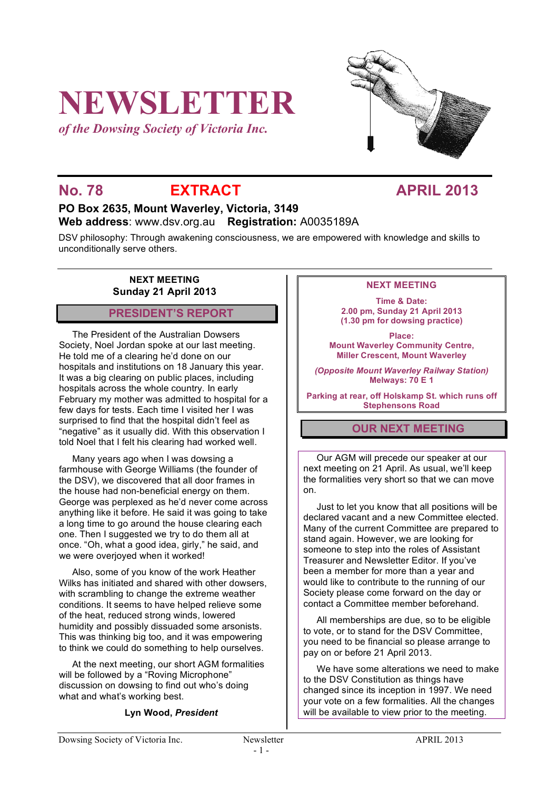# **NEWSLETTER**

*of the Dowsing Society of Victoria Inc.*



# No. 78 **EXTRACT APRIL 2013**

# **PO Box 2635, Mount Waverley, Victoria, 3149 Web address**: www.dsv.org.au **Registration:** A0035189A

DSV philosophy: Through awakening consciousness, we are empowered with knowledge and skills to unconditionally serve others.

# **NEXT MEETING Sunday 21 April 2013**

# **PRESIDENT'S REPORT**

The President of the Australian Dowsers Society, Noel Jordan spoke at our last meeting. He told me of a clearing he'd done on our hospitals and institutions on 18 January this year. It was a big clearing on public places, including hospitals across the whole country. In early February my mother was admitted to hospital for a few days for tests. Each time I visited her I was surprised to find that the hospital didn't feel as "negative" as it usually did. With this observation I told Noel that I felt his clearing had worked well.

Many years ago when I was dowsing a farmhouse with George Williams (the founder of the DSV), we discovered that all door frames in the house had non-beneficial energy on them. George was perplexed as he'd never come across anything like it before. He said it was going to take a long time to go around the house clearing each one. Then I suggested we try to do them all at once. "Oh, what a good idea, girly," he said, and we were overjoyed when it worked!

Also, some of you know of the work Heather Wilks has initiated and shared with other dowsers. with scrambling to change the extreme weather conditions. It seems to have helped relieve some of the heat, reduced strong winds, lowered humidity and possibly dissuaded some arsonists. This was thinking big too, and it was empowering to think we could do something to help ourselves.

At the next meeting, our short AGM formalities will be followed by a "Roving Microphone" discussion on dowsing to find out who's doing what and what's working best.

## **Lyn Wood,** *President*

# **NEXT MEETING**

**Time & Date: 2.00 pm, Sunday 21 April 2013 (1.30 pm for dowsing practice)**

**Place: Mount Waverley Community Centre, Miller Crescent, Mount Waverley**

*(Opposite Mount Waverley Railway Station)* **Melways: 70 E 1**

**Parking at rear, off Holskamp St. which runs off Stephensons Road**

# **OUR NEXT MEETING**

Our AGM will precede our speaker at our next meeting on 21 April. As usual, we'll keep the formalities very short so that we can move on.

Just to let you know that all positions will be declared vacant and a new Committee elected. Many of the current Committee are prepared to stand again. However, we are looking for someone to step into the roles of Assistant Treasurer and Newsletter Editor. If you've been a member for more than a year and would like to contribute to the running of our Society please come forward on the day or contact a Committee member beforehand.

All memberships are due, so to be eligible to vote, or to stand for the DSV Committee, you need to be financial so please arrange to pay on or before 21 April 2013.

We have some alterations we need to make to the DSV Constitution as things have changed since its inception in 1997. We need your vote on a few formalities. All the changes will be available to view prior to the meeting.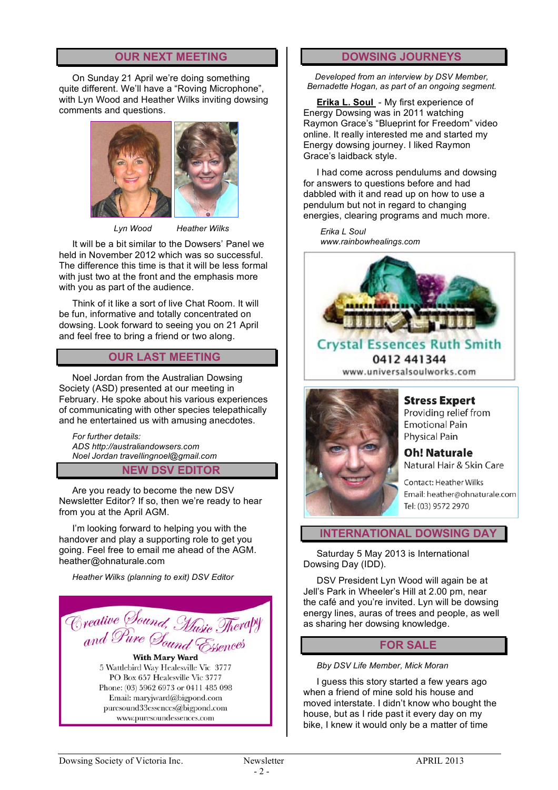# **OUR NEXT MEETING**

On Sunday 21 April we're doing something quite different. We'll have a "Roving Microphone", with Lyn Wood and Heather Wilks inviting dowsing comments and questions.



 *Lyn Wood Heather Wilks*

It will be a bit similar to the Dowsers' Panel we held in November 2012 which was so successful. The difference this time is that it will be less formal with just two at the front and the emphasis more with you as part of the audience.

Think of it like a sort of live Chat Room. It will be fun, informative and totally concentrated on dowsing. Look forward to seeing you on 21 April and feel free to bring a friend or two along.

# **OUR LAST MEETING**

Noel Jordan from the Australian Dowsing Society (ASD) presented at our meeting in February. He spoke about his various experiences of communicating with other species telepathically and he entertained us with amusing anecdotes.

*For further details: ADS http://australiandowsers.com Noel Jordan travellingnoel@gmail.com*

## **NEW DSV EDITOR**

Are you ready to become the new DSV Newsletter Editor? If so, then we're ready to hear from you at the April AGM.

I'm looking forward to helping you with the handover and play a supporting role to get you going. Feel free to email me ahead of the AGM. heather@ohnaturale.com

*Heather Wilks (planning to exit) DSV Editor*



# **DOWSING JOURNEYS**

*Developed from an interview by DSV Member, Bernadette Hogan, as part of an ongoing segment.*

**Erika L. Soul** - My first experience of Energy Dowsing was in 2011 watching Raymon Grace's "Blueprint for Freedom" video online. It really interested me and started my Energy dowsing journey. I liked Raymon Grace's laidback style.

I had come across pendulums and dowsing for answers to questions before and had dabbled with it and read up on how to use a pendulum but not in regard to changing energies, clearing programs and much more.

*Erika L Soul www.rainbowhealings.com*



**Crystal Essences Ruth Smith** 0412 441344 www.universalsoulworks.com



**Stress Expert** Providing relief from **Emotional Pain Physical Pain** 

**Oh! Naturale** Natural Hair & Skin Care

**Contact: Heather Wilks** Email: heather@ohnaturale.com Tel: (03) 9572 2970

# **INTERNATIONAL DOWSING DA**

Saturday 5 May 2013 is International Dowsing Day (IDD).

DSV President Lyn Wood will again be at Jell's Park in Wheeler's Hill at 2.00 pm, near the café and you're invited. Lyn will be dowsing energy lines, auras of trees and people, as well as sharing her dowsing knowledge.

# **FOR SALE**

*Bby DSV Life Member, Mick Moran*

I guess this story started a few years ago when a friend of mine sold his house and moved interstate. I didn't know who bought the house, but as I ride past it every day on my bike, I knew it would only be a matter of time